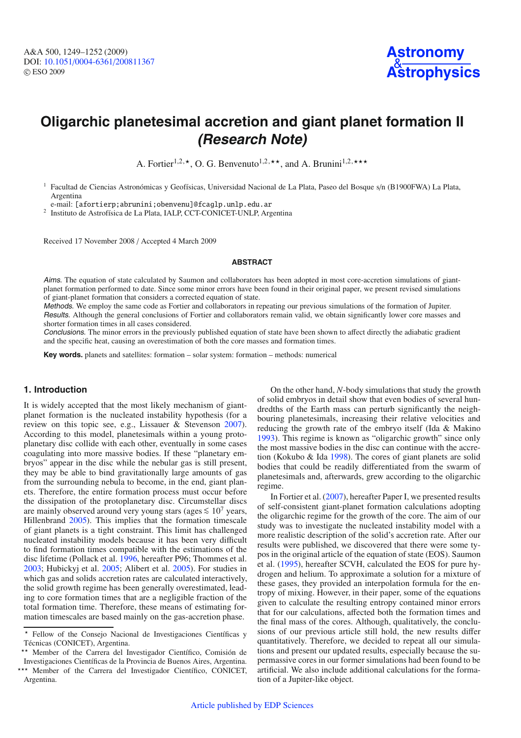

# **Oligarchic planetesimal accretion and giant planet formation II (Research Note)**

A. Fortier<sup>1,2,\*</sup>, O. G. Benvenuto<sup>1,2,\*\*</sup>, and A. Brunini<sup>1,2,\*\*\*</sup>

<sup>1</sup> Facultad de Ciencias Astronómicas y Geofísicas, Universidad Nacional de La Plata, Paseo del Bosque s/n (B1900FWA) La Plata, Argentina

e-mail: [afortierp;abrunini;obenvenu]@fcaglp.unlp.edu.ar

<sup>2</sup> Instituto de Astrofísica de La Plata, IALP, CCT-CONICET-UNLP, Argentina

Received 17 November 2008 / Accepted 4 March 2009

#### **ABSTRACT**

Aims. The equation of state calculated by Saumon and collaborators has been adopted in most core-accretion simulations of giantplanet formation performed to date. Since some minor errors have been found in their original paper, we present revised simulations of giant-planet formation that considers a corrected equation of state.

Methods. We employ the same code as Fortier and collaborators in repeating our previous simulations of the formation of Jupiter. Results. Although the general conclusions of Fortier and collaborators remain valid, we obtain significantly lower core masses and shorter formation times in all cases considered.

Conclusions. The minor errors in the previously published equation of state have been shown to affect directly the adiabatic gradient and the specific heat, causing an overestimation of both the core masses and formation times.

**Key words.** planets and satellites: formation – solar system: formation – methods: numerical

## **1. Introduction**

It is widely accepted that the most likely mechanism of giantplanet formation is the nucleated instability hypothesis (for a review on this topic see, e.g., Lissauer & Stevenson [2007\)](#page-3-0). According to this model, planetesimals within a young protoplanetary disc collide with each other, eventually in some cases coagulating into more massive bodies. If these "planetary embryos" appear in the disc while the nebular gas is still present, they may be able to bind gravitationally large amounts of gas from the surrounding nebula to become, in the end, giant planets. Therefore, the entire formation process must occur before the dissipation of the protoplanetary disc. Circumstellar discs are mainly observed around very young stars (ages  $≤ 10<sup>7</sup>$  years, Hillenbrand [2005\)](#page-3-1). This implies that the formation timescale of giant planets is a tight constraint. This limit has challenged nucleated instability models because it has been very difficult to find formation times compatible with the estimations of the disc lifetime (Pollack et al. [1996,](#page-3-2) hereafter P96; Thommes et al. [2003;](#page-3-3) Hubickyj et al. [2005;](#page-3-4) Alibert et al. [2005\)](#page-3-5). For studies in which gas and solids accretion rates are calculated interactively, the solid growth regime has been generally overestimated, leading to core formation times that are a negligible fraction of the total formation time. Therefore, these means of estimating formation timescales are based mainly on the gas-accretion phase.

?? Member of the Carrera del Investigador Científico, Comisión de Investigaciones Científicas de la Provincia de Buenos Aires, Argentina.

On the other hand, *N*-body simulations that study the growth of solid embryos in detail show that even bodies of several hundredths of the Earth mass can perturb significantly the neighbouring planetesimals, increasing their relative velocities and reducing the growth rate of the embryo itself (Ida & Makino [1993\)](#page-3-6). This regime is known as "oligarchic growth" since only the most massive bodies in the disc can continue with the accretion (Kokubo & Ida [1998\)](#page-3-7). The cores of giant planets are solid bodies that could be readily differentiated from the swarm of planetesimals and, afterwards, grew according to the oligarchic regime.

In Fortier et al. [\(2007\)](#page-3-8), hereafter Paper I, we presented results of self-consistent giant-planet formation calculations adopting the oligarchic regime for the growth of the core. The aim of our study was to investigate the nucleated instability model with a more realistic description of the solid's accretion rate. After our results were published, we discovered that there were some typos in the original article of the equation of state (EOS). Saumon et al. [\(1995\)](#page-3-9), hereafter SCVH, calculated the EOS for pure hydrogen and helium. To approximate a solution for a mixture of these gases, they provided an interpolation formula for the entropy of mixing. However, in their paper, some of the equations given to calculate the resulting entropy contained minor errors that for our calculations, affected both the formation times and the final mass of the cores. Although, qualitatively, the conclusions of our previous article still hold, the new results differ quantitatively. Therefore, we decided to repeat all our simulations and present our updated results, especially because the supermassive cores in our former simulations had been found to be artificial. We also include additional calculations for the formation of a Jupiter-like object.

<sup>?</sup> Fellow of the Consejo Nacional de Investigaciones Científicas y Técnicas (CONICET), Argentina.

<sup>\*\*\*</sup> Member of the Carrera del Investigador Científico, CONICET, Argentina.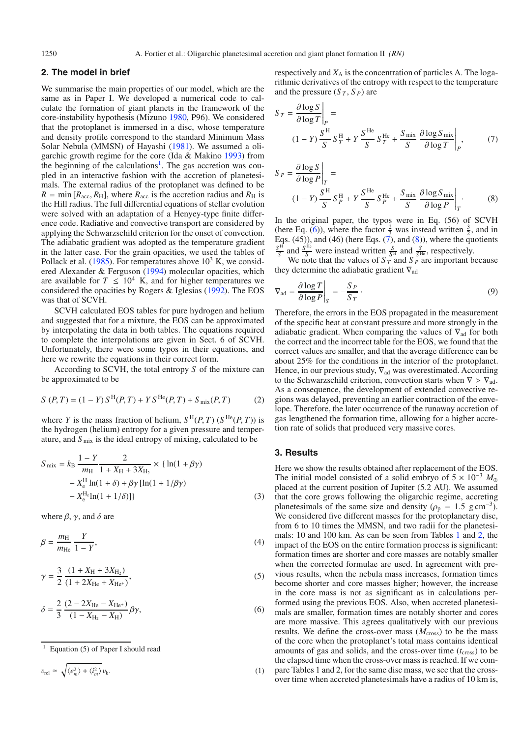### **2. The model in brief**

We summarise the main properties of our model, which are the same as in Paper I. We developed a numerical code to calculate the formation of giant planets in the framework of the core-instability hypothesis (Mizuno [1980,](#page-3-10) P96). We considered that the protoplanet is immersed in a disc, whose temperature and density profile correspond to the standard Minimum Mass Solar Nebula (MMSN) of Hayashi [\(1981\)](#page-3-11). We assumed a oligarchic growth regime for the core (Ida & Makino [1993\)](#page-3-6) from the beginning of the calculations<sup>1</sup>. The gas accretion was coupled in an interactive fashion with the accretion of planetesimals. The external radius of the protoplanet was defined to be  $R = \min[R_{\text{acc}}, R_{\text{H}}]$ , where  $R_{\text{acc}}$  is the accretion radius and  $R_{\text{H}}$  is the Hill radius. The full differential equations of stellar evolution were solved with an adaptation of a Henyey-type finite difference code. Radiative and convective transport are considered by applying the Schwarzschild criterion for the onset of convection. The adiabatic gradient was adopted as the temperature gradient in the latter case. For the grain opacities, we used the tables of Pollack et al.  $(1985)$ . For temperatures above  $10^3$  K, we considered Alexander & Ferguson [\(1994\)](#page-3-13) molecular opacities, which are available for  $T \leq 10^4$  K, and for higher temperatures we considered the opacities by Rogers & Iglesias [\(1992\)](#page-3-14). The EOS was that of SCVH.

SCVH calculated EOS tables for pure hydrogen and helium and suggested that for a mixture, the EOS can be approximated by interpolating the data in both tables. The equations required to complete the interpolations are given in Sect. 6 of SCVH. Unfortunately, there were some typos in their equations, and here we rewrite the equations in their correct form.

According to SCVH, the total entropy *S* of the mixture can be approximated to be

$$
S(P,T) = (1 - Y) S^{H}(P,T) + Y S^{He}(P,T) + S_{\text{mix}}(P,T)
$$
 (2)

where *Y* is the mass fraction of helium,  $S^{H}(P, T)$  ( $S^{He}(P, T)$ ) is the hydrogen (helium) entropy for a given pressure and temperature, and  $S<sub>mix</sub>$  is the ideal entropy of mixing, calculated to be

<span id="page-1-1"></span>
$$
S_{\text{mix}} = k_{\text{B}} \frac{1 - Y}{m_{\text{H}}} \frac{2}{1 + X_{\text{H}} + 3X_{\text{H}_2}} \times \{ \ln(1 + \beta \gamma) - X_{\text{e}}^{\text{H}} \ln(1 + \delta) + \beta \gamma \left[ \ln(1 + 1/\beta \gamma) \right] - X_{\text{e}}^{\text{H}_\text{e}} \ln(1 + 1/\delta) ] \}
$$
(3)

<span id="page-1-0"></span>where  $\beta$ ,  $\gamma$ , and  $\delta$  are

$$
\beta = \frac{m_{\rm H}}{m_{\rm He}} \frac{Y}{1 - Y},\tag{4}
$$

$$
\gamma = \frac{3}{2} \frac{(1 + X_{\text{H}} + 3X_{\text{H}_2})}{(1 + 2X_{\text{He}} + X_{\text{He}^+})},\tag{5}
$$

$$
\delta = \frac{2}{3} \frac{(2 - 2X_{\text{He}} - X_{\text{He}^+})}{(1 - X_{\text{H}_2} - X_{\text{H}})} \beta \gamma,
$$
\n(6)

$$
v_{\rm rel} \simeq \sqrt{\langle e_m^2 \rangle + \langle i_m^2 \rangle} v_{\rm k}.
$$
 (1)

respectively and  $X_A$  is the concentration of particles A. The logarithmic derivatives of the entropy with respect to the temperature and the pressure  $(S_T, S_P)$  are

<span id="page-1-2"></span>
$$
S_T = \frac{\partial \log S}{\partial \log T}\Big|_P =
$$
  
(1 - Y)  $\frac{S^{\text{H}}}{S} S_T^{\text{H}} + Y \frac{S^{\text{He}}}{S} S_T^{\text{He}} + \frac{S_{\text{mix}}}{S} \frac{\partial \log S_{\text{mix}}}{\partial \log T}\Big|_P,$  (7)

<span id="page-1-3"></span>
$$
S_P = \frac{\partial \log S}{\partial \log P}\Big|_T =
$$
  
(1 - Y)  $\frac{S^{\text{H}}}{S} S_P^{\text{H}} + Y \frac{S^{\text{He}}}{S} S_P^{\text{He}} + \frac{S_{\text{mix}}}{S} \frac{\partial \log S_{\text{mix}}}{\partial \log P}\Big|_T$ . (8)

In the original paper, the typos were in Eq. (56) of SCVH (here Eq. [\(6\)](#page-1-1)), where the factor  $\frac{2}{3}$  was instead written  $\frac{3}{2}$ , and in Eqs. (45)), and (46) (here Eqs.  $(\vec{7})$ , and [\(8\)](#page-1-3)), where the quotients  $\frac{S^H}{S}$  and  $\frac{S^H}{S}$  were instead written  $\frac{S}{S^H}$  and  $\frac{S}{S^H}$ , respectively.

We note that the values of  $S_T$  and  $S_P$  are important because they determine the adiabatic gradient  $\nabla_{ad}$ 

$$
\nabla_{\text{ad}} = \frac{\partial \log T}{\partial \log P}\bigg|_{S} = -\frac{S_P}{S_T} \,. \tag{9}
$$

Therefore, the errors in the EOS propagated in the measurement of the specific heat at constant pressure and more strongly in the adiabatic gradient. When comparing the values of  $\nabla_{ad}$  for both the correct and the incorrect table for the EOS, we found that the correct values are smaller, and that the average difference can be about 25% for the conditions in the interior of the protoplanet. Hence, in our previous study,  $\nabla_{ad}$  was overestimated. According to the Schwarzschild criterion, convection starts when  $\nabla > \nabla_{ad}$ . As a consequence, the development of extended convective regions was delayed, preventing an earlier contraction of the envelope. Therefore, the later occurrence of the runaway accretion of gas lengthened the formation time, allowing for a higher accretion rate of solids that produced very massive cores.

#### **3. Results**

Here we show the results obtained after replacement of the EOS. The initial model consisted of a solid embryo of  $5 \times 10^{-3}$   $M_{\oplus}$ placed at the current position of Jupiter (5.2 AU). We assumed that the core grows following the oligarchic regime, accreting planetesimals of the same size and density ( $\rho_p = 1.5 \text{ g cm}^{-3}$ ). We considered five different masses for the protoplanetary disc, from 6 to 10 times the MMSN, and two radii for the planetesimals: 10 and 100 km. As can be seen from Tables [1](#page-2-0) and [2,](#page-2-1) the impact of the EOS on the entire formation process is significant: formation times are shorter and core masses are notably smaller when the corrected formulae are used. In agreement with previous results, when the nebula mass increases, formation times become shorter and core masses higher; however, the increase in the core mass is not as significant as in calculations performed using the previous EOS. Also, when accreted planetesimals are smaller, formation times are notably shorter and cores are more massive. This agrees qualitatively with our previous results. We define the cross-over mass  $(M_{\text{cross}})$  to be the mass of the core when the protoplanet's total mass contains identical amounts of gas and solids, and the cross-over time  $(t_{\text{cross}})$  to be the elapsed time when the cross-over mass is reached. If we compare Tables 1 and 2, for the same disc mass, we see that the crossover time when accreted planetesimals have a radius of 10 km is,

Equation (5) of Paper I should read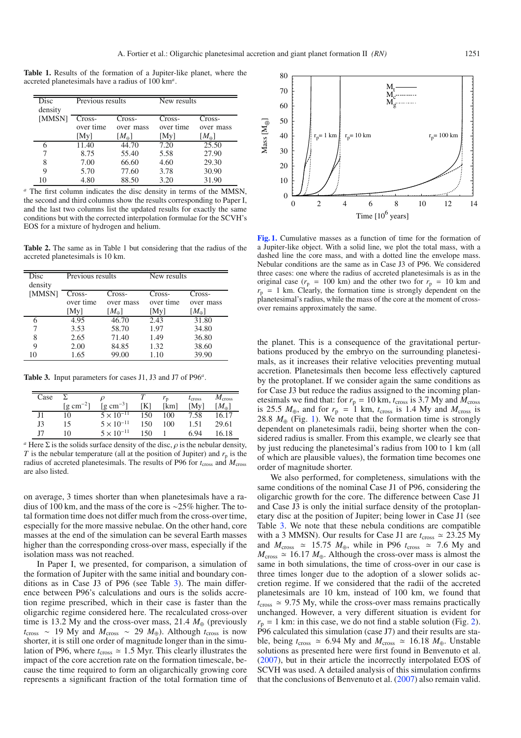<span id="page-2-0"></span>**Table 1.** Results of the formation of a Jupiter-like planet, where the accreted planetesimals have a radius of 100 km*<sup>a</sup>*.

<span id="page-2-1"></span>

| Disc    | Previous results |                | New results |                |  |
|---------|------------------|----------------|-------------|----------------|--|
| density |                  |                |             |                |  |
| [MMSN]  | Cross-           | Cross-         | Cross-      | Cross-         |  |
|         | over time        | over mass      | over time   | over mass      |  |
|         | [My]             | $[M_{\oplus}]$ | [My]        | $[M_{\oplus}]$ |  |
| 6       | 11.40            | 44.70          | 7.20        | 25.50          |  |
|         | 8.75             | 55.40          | 5.58        | 27.90          |  |
| 8       | 7.00             | 66.60          | 4.60        | 29.30          |  |
| 9       | 5.70             | 77.60          | 3.78        | 30.90          |  |
| 10      | 4.80             | 88.50          | 3.20        | 31.90          |  |

*<sup>a</sup>* The first column indicates the disc density in terms of the MMSN, the second and third columns show the results corresponding to Paper I, and the last two columns list the updated results for exactly the same conditions but with the corrected interpolation formulae for the SCVH's EOS for a mixture of hydrogen and helium.

<span id="page-2-2"></span>**Table 2.** The same as in Table 1 but considering that the radius of the accreted planetesimals is 10 km.

| Disc<br>density | Previous results |               | New results |                |  |
|-----------------|------------------|---------------|-------------|----------------|--|
| [MMSN]          | Cross-           | Cross-        | Cross-      | Cross-         |  |
|                 | over time        | over mass     | over time   | over mass      |  |
|                 | [My]             | $[M_{\oplus}$ | [My]        | $[M_{\oplus}]$ |  |
| 6               | 4.95             | 46.70         | 2.43        | 31.80          |  |
|                 | 3.53             | 58.70         | 1.97        | 34.80          |  |
| 8               | 2.65             | 71.40         | 1.49        | 36.80          |  |
| 9               | 2.00             | 84.85         | 1.32        | 38.60          |  |
| 10              | 1.65             | 99.00         | 1.10        | 39.90          |  |

**Table 3.** Input parameters for cases J1, J3 and J7 of P96*<sup>a</sup>*.

| Case |                                 |                                   |                | $r_{\rm p}$ | $t_{\text{cross}}$ | $M_{\rm cross}$ |
|------|---------------------------------|-----------------------------------|----------------|-------------|--------------------|-----------------|
|      | $\left[\text{g cm}^{-2}\right]$ | $\left[ \text{g cm}^{-3} \right]$ | K <sub>1</sub> | [km]        | [Mv]               | $[M_{\oplus}]$  |
| J1   | 10                              | $5 \times 10^{-11}$               | 150            | 100         | 7.58               | 16.17           |
| J3   | 15                              | $5 \times 10^{-11}$               | 150            | 100         | 1.51               | 29.61           |
| J7   | 10                              | $5 \times 10^{-11}$               | 150            |             | 694                | 16.18           |

<sup>*a*</sup> Here  $\Sigma$  is the solids surface density of the disc,  $\rho$  is the nebular density, *T* is the nebular temperature (all at the position of Jupiter) and  $r_p$  is the radius of accreted planetesimals. The results of P96 for  $t_{\text{cross}}$  and  $M_{\text{cross}}$ are also listed.

on average, 3 times shorter than when planetesimals have a radius of 100 km, and the mass of the core is ∼25% higher. The total formation time does not differ much from the cross-over time, especially for the more massive nebulae. On the other hand, core masses at the end of the simulation can be several Earth masses higher than the corresponding cross-over mass, especially if the isolation mass was not reached.

In Paper I, we presented, for comparison, a simulation of the formation of Jupiter with the same initial and boundary conditions as in Case J3 of P96 (see Table [3\)](#page-2-2). The main difference between P96's calculations and ours is the solids accretion regime prescribed, which in their case is faster than the oligarchic regime considered here. The recalculated cross-over time is 13.2 My and the cross-over mass, 21.4  $M_{\oplus}$  (previously  $t_{\text{cross}} \sim 19$  My and  $M_{\text{cross}} \sim 29$   $M_{\oplus}$ ). Although  $t_{\text{cross}}$  is now shorter, it is still one order of magnitude longer than in the simulation of P96, where  $t_{\text{cross}} \approx 1.5$  Myr. This clearly illustrates the impact of the core accretion rate on the formation timescale, because the time required to form an oligarchically growing core represents a significant fraction of the total formation time of

<span id="page-2-3"></span>

**[Fig. 1.](http://dexter.edpsciences.org/applet.php?DOI=10.1051/0004-6361/200811367&pdf_id=1)** Cumulative masses as a function of time for the formation of a Jupiter-like object. With a solid line, we plot the total mass, with a dashed line the core mass, and with a dotted line the envelope mass. Nebular conditions are the same as in Case J3 of P96. We considered three cases: one where the radius of accreted planetesimals is as in the original case ( $r_p$  = 100 km) and the other two for  $r_p$  = 10 km and  $r_p = 1$  km. Clearly, the formation time is strongly dependent on the planetesimal's radius, while the mass of the core at the moment of crossover remains approximately the same.

the planet. This is a consequence of the gravitational perturbations produced by the embryo on the surrounding planetesimals, as it increases their relative velocities preventing mutual accretion. Planetesimals then become less effectively captured by the protoplanet. If we consider again the same conditions as for Case J3 but reduce the radius assigned to the incoming planetesimals we find that: for  $r_p = 10$  km,  $t_{cross}$  is 3.7 My and  $M_{cross}$ is 25.5  $M_{\oplus}$ , and for  $r_{\rm p} = 1$  km,  $t_{\rm cross}$  is 1.4 My and  $M_{\rm cross}$  is 28.8  $M_{\oplus}$  (Fig. [1\)](#page-2-3). We note that the formation time is strongly dependent on planetesimals radii, being shorter when the considered radius is smaller. From this example, we clearly see that by just reducing the planetesimal's radius from 100 to 1 km (all of which are plausible values), the formation time becomes one order of magnitude shorter.

We also performed, for completeness, simulations with the same conditions of the nominal Case J1 of P96, considering the oligarchic growth for the core. The difference between Case J1 and Case J3 is only the initial surface density of the protoplanetary disc at the position of Jupiter; being lower in Case J1 (see Table [3.](#page-2-2) We note that these nebula conditions are compatible with a 3 MMSN). Our results for Case J1 are  $t_{\text{cross}} \approx 23.25 \text{ My}$ and  $M_{cross} \approx 15.75 M_{\oplus}$ , while in P96  $t_{cross} \approx 7.6 M_y$  and  $M_{\text{cross}} \simeq 16.17 M_{\oplus}$ . Although the cross-over mass is almost the same in both simulations, the time of cross-over in our case is three times longer due to the adoption of a slower solids accretion regime. If we considered that the radii of the accreted planetesimals are 10 km, instead of 100 km, we found that  $t_{\text{cross}} \approx 9.75$  My, while the cross-over mass remains practically unchanged. However, a very different situation is evident for  $r_p = 1$  km: in this case, we do not find a stable solution (Fig. [2\)](#page-3-15). P96 calculated this simulation (case J7) and their results are stable, being  $t_{\text{cross}} \approx 6.94 \text{ My and } M_{\text{cross}} \approx 16.18 M_{\oplus}$ . Unstable solutions as presented here were first found in Benvenuto et al. [\(2007\)](#page-3-16), but in their article the incorrectly interpolated EOS of SCVH was used. A detailed analysis of this simulation confirms that the conclusions of Benvenuto et al. [\(2007\)](#page-3-16) also remain valid.